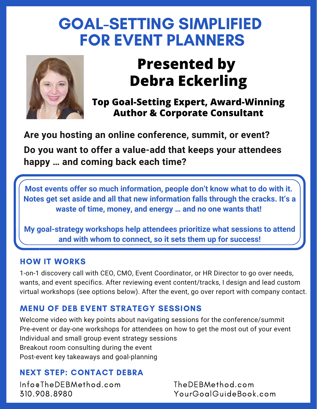## GOAL-SETTING SIMPLIFIED FOR EVENT PLANNERS



# **Presented by Debra Eckerling**

**Top Goal-Setting Expert, Award-Winning Author & Corporate Consultant**

**Are you hosting an online conference, summit, or event?**

**Do you want to offer a value-add that keeps your attendees happy … and coming back each time?**

**Most events offer so much information, people don't know what to do with it. Notes get set aside and all that new information falls through the cracks. It's a waste of time, money, and energy … and no one wants that!**

**My goal-strategy workshops help attendees prioritize what sessions to attend and with whom to connect, so it sets them up for success!**

#### HOW IT WORKS

1-on-1 discovery call with CEO, CMO, Event Coordinator, or HR Director to go over needs, wants, and event specifics. After reviewing event content/tracks, I design and lead custom virtual workshops (see options below). After the event, go over report with company contact.

#### MENU OF DEB EVENT STRATEGY SESSIONS

Welcome video with key points about navigating sessions for the conference/summit Pre-event or day-one workshops for attendees on how to get the most out of your event Individual and small group event strategy sessions Breakout room consulting during the event Post-event key takeaways and goal-planning

## NEXT STEP: CONTACT DEBRA

Info@TheDEBMethod.com 310.908.8980

TheDEBMethod.com YourGoalGuideBook.com